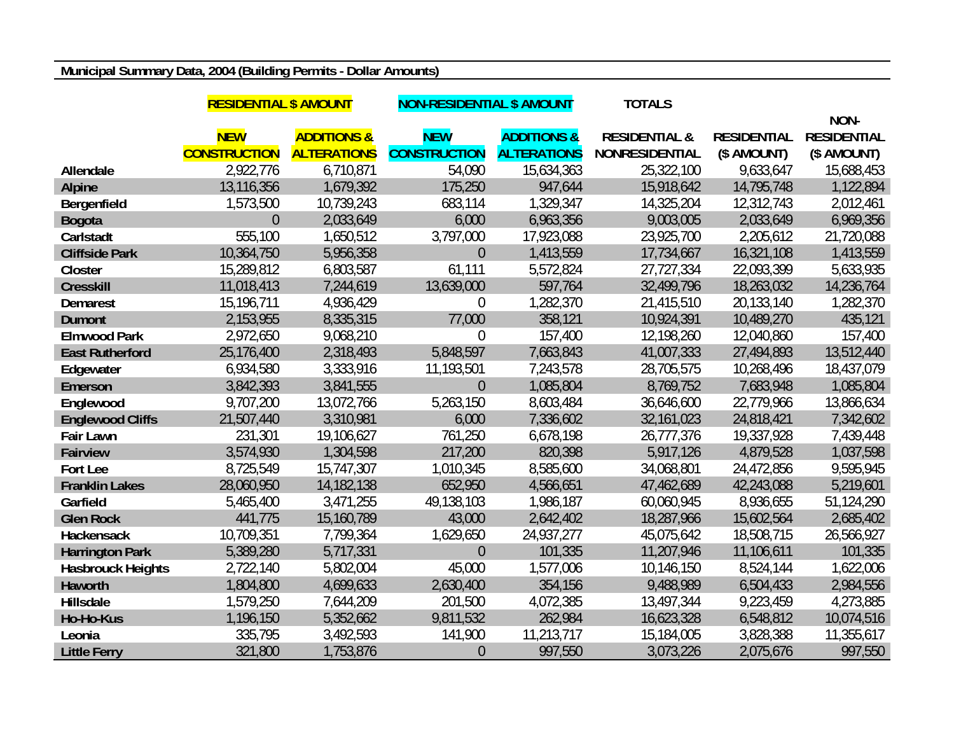## **Municipal Summary Data, 2004 (Building Permits - Dollar Amounts)**

|                          | <b>RESIDENTIAL \$ AMOUNT</b> |                        | <b>NON-RESIDENTIAL \$ AMOUNT</b> |                        | <b>TOTALS</b>            |                    |                    |
|--------------------------|------------------------------|------------------------|----------------------------------|------------------------|--------------------------|--------------------|--------------------|
|                          |                              |                        |                                  |                        |                          |                    | NON-               |
|                          | <b>NEW</b>                   | <b>ADDITIONS &amp;</b> | <b>NEW</b>                       | <b>ADDITIONS &amp;</b> | <b>RESIDENTIAL &amp;</b> | <b>RESIDENTIAL</b> | <b>RESIDENTIAL</b> |
|                          | <b>CONSTRUCTION</b>          | <b>ALTERATIONS</b>     | <b>CONSTRUCTION</b>              | <b>ALTERATIONS</b>     | <b>NONRESIDENTIAL</b>    | (\$ AMOUNT)        | (\$ AMOUNT)        |
| Allendale                | 2,922,776                    | 6,710,871              | 54,090                           | 15,634,363             | 25,322,100               | 9,633,647          | 15,688,453         |
| <b>Alpine</b>            | 13,116,356                   | 1,679,392              | 175,250                          | 947,644                | 15,918,642               | 14,795,748         | 1,122,894          |
| Bergenfield              | 1,573,500                    | 10,739,243             | 683,114                          | 1,329,347              | 14,325,204               | 12,312,743         | 2,012,461          |
| <b>Bogota</b>            | $\overline{0}$               | 2,033,649              | 6,000                            | 6,963,356              | 9,003,005                | 2,033,649          | 6,969,356          |
| Carlstadt                | 555,100                      | 1,650,512              | 3,797,000                        | 17,923,088             | 23,925,700               | 2,205,612          | 21,720,088         |
| <b>Cliffside Park</b>    | 10,364,750                   | 5,956,358              | $\overline{0}$                   | 1,413,559              | 17,734,667               | 16,321,108         | 1,413,559          |
| Closter                  | 15,289,812                   | 6,803,587              | 61,111                           | 5,572,824              | 27,727,334               | 22,093,399         | 5,633,935          |
| <b>Cresskill</b>         | 11,018,413                   | 7,244,619              | 13,639,000                       | 597,764                | 32,499,796               | 18,263,032         | 14,236,764         |
| <b>Demarest</b>          | 15,196,711                   | 4,936,429              | $\theta$                         | 1,282,370              | 21,415,510               | 20,133,140         | 1,282,370          |
| <b>Dumont</b>            | 2,153,955                    | 8,335,315              | 77,000                           | 358,121                | 10,924,391               | 10,489,270         | 435,121            |
| <b>Elmwood Park</b>      | 2,972,650                    | 9,068,210              | $\overline{0}$                   | 157,400                | 12,198,260               | 12,040,860         | 157,400            |
| <b>East Rutherford</b>   | 25,176,400                   | 2,318,493              | 5,848,597                        | 7,663,843              | 41,007,333               | 27,494,893         | 13,512,440         |
| Edgewater                | 6,934,580                    | 3,333,916              | 11,193,501                       | 7,243,578              | 28,705,575               | 10,268,496         | 18,437,079         |
| Emerson                  | 3,842,393                    | 3,841,555              | $\overline{0}$                   | 1,085,804              | 8,769,752                | 7,683,948          | 1,085,804          |
| Englewood                | 9,707,200                    | 13,072,766             | 5,263,150                        | 8,603,484              | 36,646,600               | 22,779,966         | 13,866,634         |
| <b>Englewood Cliffs</b>  | 21,507,440                   | 3,310,981              | 6,000                            | 7,336,602              | 32,161,023               | 24,818,421         | 7,342,602          |
| <b>Fair Lawn</b>         | 231,301                      | 19,106,627             | 761,250                          | 6,678,198              | 26,777,376               | 19,337,928         | 7,439,448          |
| <b>Fairview</b>          | 3,574,930                    | 1,304,598              | 217,200                          | 820,398                | 5,917,126                | 4,879,528          | 1,037,598          |
| Fort Lee                 | 8,725,549                    | 15,747,307             | 1,010,345                        | 8,585,600              | 34,068,801               | 24,472,856         | 9,595,945          |
| <b>Franklin Lakes</b>    | 28,060,950                   | 14,182,138             | 652,950                          | 4,566,651              | 47,462,689               | 42,243,088         | 5,219,601          |
| Garfield                 | 5,465,400                    | 3,471,255              | 49,138,103                       | 1,986,187              | 60,060,945               | 8,936,655          | 51,124,290         |
| <b>Glen Rock</b>         | 441,775                      | 15,160,789             | 43,000                           | 2,642,402              | 18,287,966               | 15,602,564         | 2,685,402          |
| <b>Hackensack</b>        | 10,709,351                   | 7,799,364              | 1,629,650                        | 24,937,277             | 45,075,642               | 18,508,715         | 26,566,927         |
| <b>Harrington Park</b>   | 5,389,280                    | 5,717,331              | $\overline{0}$                   | 101,335                | 11,207,946               | 11,106,611         | 101,335            |
| <b>Hasbrouck Heights</b> | 2,722,140                    | 5,802,004              | 45,000                           | 1,577,006              | 10,146,150               | 8,524,144          | 1,622,006          |
| Haworth                  | 1,804,800                    | 4,699,633              | 2,630,400                        | 354,156                | 9,488,989                | 6,504,433          | 2,984,556          |
| Hillsdale                | 1,579,250                    | 7,644,209              | 201,500                          | 4,072,385              | 13,497,344               | 9,223,459          | 4,273,885          |
| Ho-Ho-Kus                | 1,196,150                    | 5,352,662              | 9,811,532                        | 262,984                | 16,623,328               | 6,548,812          | 10,074,516         |
| Leonia                   | 335,795                      | 3,492,593              | 141,900                          | 11,213,717             | 15,184,005               | 3,828,388          | 11,355,617         |
| <b>Little Ferry</b>      | 321,800                      | 1,753,876              | $\overline{0}$                   | 997,550                | 3,073,226                | 2,075,676          | 997,550            |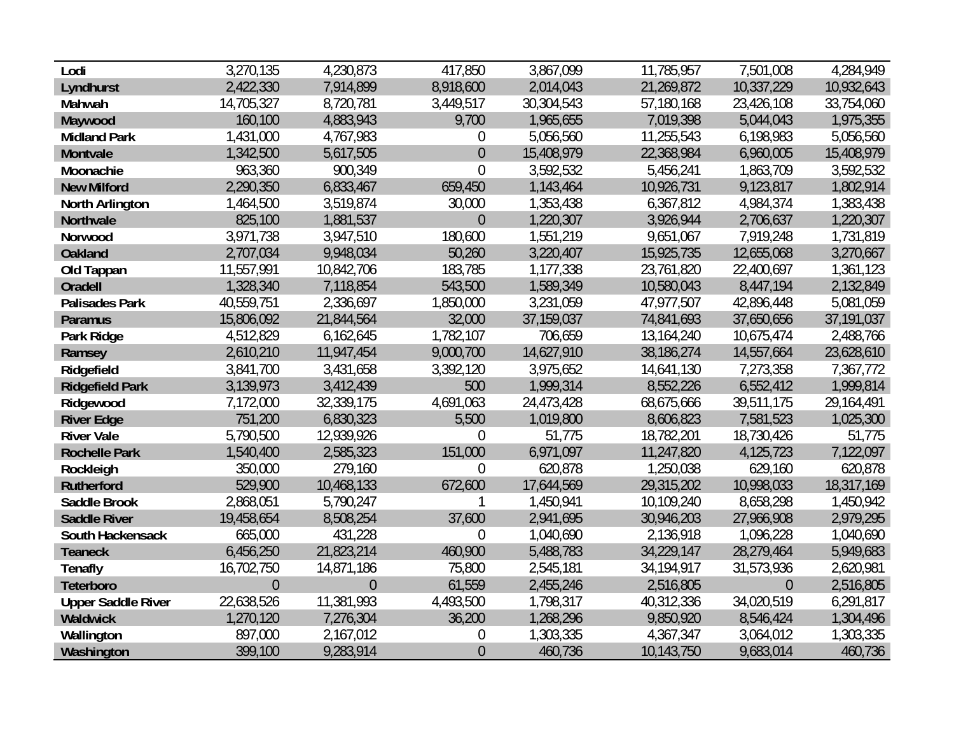| Lodi                      | 3,270,135      | 4,230,873      | 417,850          | 3,867,099  | 11,785,957 | 7,501,008      | 4,284,949  |
|---------------------------|----------------|----------------|------------------|------------|------------|----------------|------------|
| Lyndhurst                 | 2,422,330      | 7,914,899      | 8,918,600        | 2,014,043  | 21,269,872 | 10,337,229     | 10,932,643 |
| Mahwah                    | 14,705,327     | 8,720,781      | 3,449,517        | 30,304,543 | 57,180,168 | 23,426,108     | 33,754,060 |
| Maywood                   | 160,100        | 4,883,943      | 9,700            | 1,965,655  | 7,019,398  | 5,044,043      | 1,975,355  |
| <b>Midland Park</b>       | 1,431,000      | 4,767,983      | $\mathbf 0$      | 5,056,560  | 11,255,543 | 6,198,983      | 5,056,560  |
| Montvale                  | 1,342,500      | 5,617,505      | $\theta$         | 15,408,979 | 22,368,984 | 6,960,005      | 15,408,979 |
| Moonachie                 | 963,360        | 900,349        | $\overline{0}$   | 3,592,532  | 5,456,241  | 1,863,709      | 3,592,532  |
| <b>New Milford</b>        | 2,290,350      | 6,833,467      | 659,450          | 1,143,464  | 10,926,731 | 9,123,817      | 1,802,914  |
| North Arlington           | 1,464,500      | 3,519,874      | 30,000           | 1,353,438  | 6,367,812  | 4,984,374      | 1,383,438  |
| Northvale                 | 825,100        | 1,881,537      | $\overline{0}$   | 1,220,307  | 3,926,944  | 2,706,637      | 1,220,307  |
| Norwood                   | 3,971,738      | 3,947,510      | 180,600          | 1,551,219  | 9,651,067  | 7,919,248      | 1,731,819  |
| <b>Oakland</b>            | 2,707,034      | 9,948,034      | 50,260           | 3,220,407  | 15,925,735 | 12,655,068     | 3,270,667  |
| Old Tappan                | 11,557,991     | 10,842,706     | 183,785          | 1,177,338  | 23,761,820 | 22,400,697     | 1,361,123  |
| Oradell                   | 1,328,340      | 7,118,854      | 543,500          | 1,589,349  | 10,580,043 | 8,447,194      | 2,132,849  |
| <b>Palisades Park</b>     | 40,559,751     | 2,336,697      | 1,850,000        | 3,231,059  | 47,977,507 | 42,896,448     | 5,081,059  |
| <b>Paramus</b>            | 15,806,092     | 21,844,564     | 32,000           | 37,159,037 | 74,841,693 | 37,650,656     | 37,191,037 |
| Park Ridge                | 4,512,829      | 6,162,645      | 1,782,107        | 706,659    | 13,164,240 | 10,675,474     | 2,488,766  |
| Ramsey                    | 2,610,210      | 11,947,454     | 9,000,700        | 14,627,910 | 38,186,274 | 14,557,664     | 23,628,610 |
| Ridgefield                | 3,841,700      | 3,431,658      | 3,392,120        | 3,975,652  | 14,641,130 | 7,273,358      | 7,367,772  |
| <b>Ridgefield Park</b>    | 3,139,973      | 3,412,439      | 500              | 1,999,314  | 8,552,226  | 6,552,412      | 1,999,814  |
| Ridgewood                 | 7,172,000      | 32,339,175     | 4,691,063        | 24,473,428 | 68,675,666 | 39,511,175     | 29,164,491 |
| <b>River Edge</b>         | 751,200        | 6,830,323      | 5,500            | 1,019,800  | 8,606,823  | 7,581,523      | 1,025,300  |
| <b>River Vale</b>         | 5,790,500      | 12,939,926     | $\overline{0}$   | 51,775     | 18,782,201 | 18,730,426     | 51,775     |
| <b>Rochelle Park</b>      | 1,540,400      | 2,585,323      | 151,000          | 6,971,097  | 11,247,820 | 4,125,723      | 7,122,097  |
| Rockleigh                 | 350,000        | 279,160        | $\overline{0}$   | 620,878    | 1,250,038  | 629,160        | 620,878    |
| <b>Rutherford</b>         | 529,900        | 10,468,133     | 672,600          | 17,644,569 | 29,315,202 | 10,998,033     | 18,317,169 |
| <b>Saddle Brook</b>       | 2,868,051      | 5,790,247      |                  | 1,450,941  | 10,109,240 | 8,658,298      | 1,450,942  |
| <b>Saddle River</b>       | 19,458,654     | 8,508,254      | 37,600           | 2,941,695  | 30,946,203 | 27,966,908     | 2,979,295  |
| South Hackensack          | 665,000        | 431,228        | $\theta$         | 1,040,690  | 2,136,918  | 1,096,228      | 1,040,690  |
| <b>Teaneck</b>            | 6,456,250      | 21,823,214     | 460,900          | 5,488,783  | 34,229,147 | 28,279,464     | 5,949,683  |
| <b>Tenafly</b>            | 16,702,750     | 14,871,186     | 75,800           | 2,545,181  | 34,194,917 | 31,573,936     | 2,620,981  |
| Teterboro                 | $\overline{0}$ | $\overline{0}$ | 61,559           | 2,455,246  | 2,516,805  | $\overline{0}$ | 2,516,805  |
| <b>Upper Saddle River</b> | 22,638,526     | 11,381,993     | 4,493,500        | 1,798,317  | 40,312,336 | 34,020,519     | 6,291,817  |
| Waldwick                  | 1,270,120      | 7,276,304      | 36,200           | 1,268,296  | 9,850,920  | 8,546,424      | 1,304,496  |
| Wallington                | 897,000        | 2,167,012      | $\boldsymbol{0}$ | 1,303,335  | 4,367,347  | 3,064,012      | 1,303,335  |
| Washington                | 399,100        | 9,283,914      | $\theta$         | 460,736    | 10,143,750 | 9,683,014      | 460,736    |